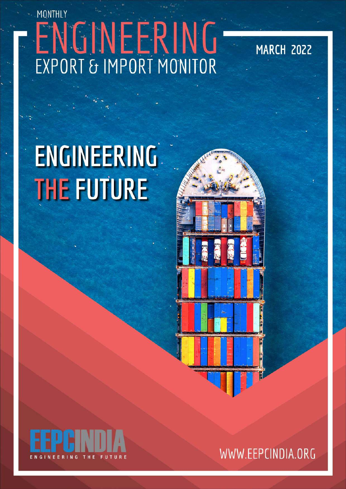# MONTHLY ENGINEERING

**MARCH 2022** 

## **ENGINEERING THE FUTURE**



WWW.EEPCINDIA.ORG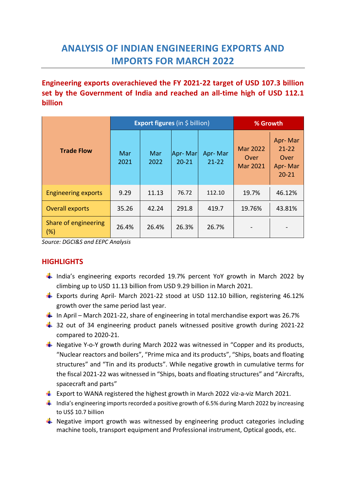## **ANALYSIS OF INDIAN ENGINEERING EXPORTS AND IMPORTS FOR MARCH 2022**

**Engineering exports overachieved the FY 2021-22 target of USD 107.3 billion set by the Government of India and reached an all-time high of USD 112.1 billion**

|                                |             | <b>Export figures</b> (in \$ billion) | % Growth             |                      |                                     |                                                      |
|--------------------------------|-------------|---------------------------------------|----------------------|----------------------|-------------------------------------|------------------------------------------------------|
| <b>Trade Flow</b>              | Mar<br>2021 | Mar<br>2022                           | Apr-Mar<br>$20 - 21$ | Apr-Mar<br>$21 - 22$ | <b>Mar 2022</b><br>Over<br>Mar 2021 | Apr-Mar<br>$21 - 22$<br>Over<br>Apr-Mar<br>$20 - 21$ |
| <b>Engineering exports</b>     | 9.29        | 11.13                                 | 76.72                | 112.10               | 19.7%                               | 46.12%                                               |
| <b>Overall exports</b>         | 35.26       | 42.24                                 | 291.8                | 419.7                | 19.76%                              | 43.81%                                               |
| Share of engineering<br>$(\%)$ | 26.4%       | 26.4%                                 | 26.3%                | 26.7%                |                                     |                                                      |

*Source: DGCI&S and EEPC Analysis*

#### **HIGHLIGHTS**

- **I** India's engineering exports recorded 19.7% percent YoY growth in March 2022 by climbing up to USD 11.13 billion from USD 9.29 billion in March 2021.
- **Exports during April- March 2021-22 stood at USD 112.10 billion, registering 46.12%** growth over the same period last year.
- In April March 2021-22, share of engineering in total merchandise export was 26.7%
- $\downarrow$  32 out of 34 engineering product panels witnessed positive growth during 2021-22 compared to 2020-21.
- $\frac{1}{2}$  Negative Y-o-Y growth during March 2022 was witnessed in "Copper and its products, "Nuclear reactors and boilers", "Prime mica and its products", "Ships, boats and floating structures" and "Tin and its products". While negative growth in cumulative terms for the fiscal 2021-22 was witnessed in "Ships, boats and floating structures" and "Aircrafts, spacecraft and parts"
- **EXPORT THE EXPORT OF VANA registered the highest growth in March 2022 viz-a-viz March 2021.**
- $\frac{1}{2}$  India's engineering imports recorded a positive growth of 6.5% during March 2022 by increasing to US\$ 10.7 billion
- $\frac{1}{2}$  Negative import growth was witnessed by engineering product categories including machine tools, transport equipment and Professional instrument, Optical goods, etc.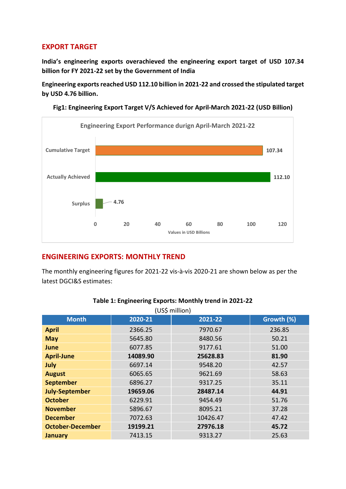#### **EXPORT TARGET**

**India's engineering exports overachieved the engineering export target of USD 107.34 billion for FY 2021-22 set by the Government of India**

**Engineering exports reached USD 112.10 billion in 2021-22 and crossed the stipulated target by USD 4.76 billion.**



**Fig1: Engineering Export Target V/S Achieved for April-March 2021-22 (USD Billion)**

#### **ENGINEERING EXPORTS: MONTHLY TREND**

The monthly engineering figures for 2021-22 vis-à-vis 2020-21 are shown below as per the latest DGCI&S estimates:

|                         |          | (US\$ million) |            |
|-------------------------|----------|----------------|------------|
| <b>Month</b>            | 2020-21  | 2021-22        | Growth (%) |
| <b>April</b>            | 2366.25  | 7970.67        | 236.85     |
| <b>May</b>              | 5645.80  | 8480.56        | 50.21      |
| June                    | 6077.85  | 9177.61        | 51.00      |
| <b>April-June</b>       | 14089.90 | 25628.83       | 81.90      |
| July                    | 6697.14  | 9548.20        | 42.57      |
| <b>August</b>           | 6065.65  | 9621.69        | 58.63      |
| <b>September</b>        | 6896.27  | 9317.25        | 35.11      |
| <b>July-September</b>   | 19659.06 | 28487.14       | 44.91      |
| <b>October</b>          | 6229.91  | 9454.49        | 51.76      |
| <b>November</b>         | 5896.67  | 8095.21        | 37.28      |
| <b>December</b>         | 7072.63  | 10426.47       | 47.42      |
| <b>October-December</b> | 19199.21 | 27976.18       | 45.72      |
| <b>January</b>          | 7413.15  | 9313.27        | 25.63      |

#### **Table 1: Engineering Exports: Monthly trend in 2021-22**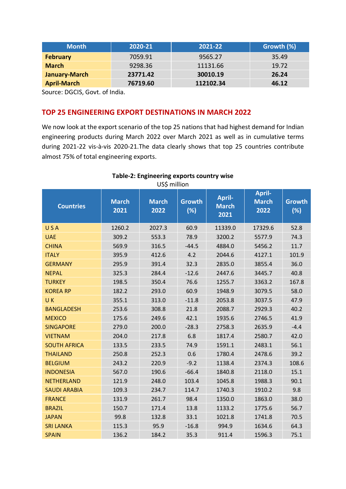| <b>Month</b>       | 2020-21  | 2021-22   | Growth (%) |
|--------------------|----------|-----------|------------|
| <b>February</b>    | 7059.91  | 9565.27   | 35.49      |
| <b>March</b>       | 9298.36  | 11131.66  | 19.72      |
| January-March      | 23771.42 | 30010.19  | 26.24      |
| <b>April-March</b> | 76719.60 | 112102.34 | 46.12      |

Source: DGCIS, Govt. of India.

#### **TOP 25 ENGINEERING EXPORT DESTINATIONS IN MARCH 2022**

We now look at the export scenario of the top 25 nations that had highest demand for Indian engineering products during March 2022 over March 2021 as well as in cumulative terms during 2021-22 vis-à-vis 2020-21.The data clearly shows that top 25 countries contribute almost 75% of total engineering exports.

| <b>Countries</b>    | <b>March</b><br>2021 | <b>March</b><br>2022 | <b>Growth</b><br>(%) | <b>April-</b><br><b>March</b><br>2021 | <b>April-</b><br><b>March</b><br>2022 | <b>Growth</b><br>(%) |
|---------------------|----------------------|----------------------|----------------------|---------------------------------------|---------------------------------------|----------------------|
| USA                 | 1260.2               | 2027.3               | 60.9                 | 11339.0                               | 17329.6                               | 52.8                 |
| <b>UAE</b>          | 309.2                | 553.3                | 78.9                 | 3200.2                                | 5577.9                                | 74.3                 |
| <b>CHINA</b>        | 569.9                | 316.5                | $-44.5$              | 4884.0                                | 5456.2                                | 11.7                 |
| <b>ITALY</b>        | 395.9                | 412.6                | 4.2                  | 2044.6                                | 4127.1                                | 101.9                |
| <b>GERMANY</b>      | 295.9                | 391.4                | 32.3                 | 2835.0                                | 3855.4                                | 36.0                 |
| <b>NEPAL</b>        | 325.3                | 284.4                | $-12.6$              | 2447.6                                | 3445.7                                | 40.8                 |
| <b>TURKEY</b>       | 198.5                | 350.4                | 76.6                 | 1255.7                                | 3363.2                                | 167.8                |
| <b>KOREA RP</b>     | 182.2                | 293.0                | 60.9                 | 1948.9                                | 3079.5                                | 58.0                 |
| UK.                 | 355.1                | 313.0                | $-11.8$              | 2053.8                                | 3037.5                                | 47.9                 |
| <b>BANGLADESH</b>   | 253.6                | 308.8                | 21.8                 | 2088.7                                | 2929.3                                | 40.2                 |
| <b>MEXICO</b>       | 175.6                | 249.6                | 42.1                 | 1935.6                                | 2746.5                                | 41.9                 |
| <b>SINGAPORE</b>    | 279.0                | 200.0                | $-28.3$              | 2758.3                                | 2635.9                                | $-4.4$               |
| <b>VIETNAM</b>      | 204.0                | 217.8                | 6.8                  | 1817.4                                | 2580.7                                | 42.0                 |
| <b>SOUTH AFRICA</b> | 133.5                | 233.5                | 74.9                 | 1591.1                                | 2483.1                                | 56.1                 |
| <b>THAILAND</b>     | 250.8                | 252.3                | 0.6                  | 1780.4                                | 2478.6                                | 39.2                 |
| <b>BELGIUM</b>      | 243.2                | 220.9                | $-9.2$               | 1138.4                                | 2374.3                                | 108.6                |
| <b>INDONESIA</b>    | 567.0                | 190.6                | $-66.4$              | 1840.8                                | 2118.0                                | 15.1                 |
| <b>NETHERLAND</b>   | 121.9                | 248.0                | 103.4                | 1045.8                                | 1988.3                                | 90.1                 |
| <b>SAUDI ARABIA</b> | 109.3                | 234.7                | 114.7                | 1740.3                                | 1910.2                                | 9.8                  |
| <b>FRANCE</b>       | 131.9                | 261.7                | 98.4                 | 1350.0                                | 1863.0                                | 38.0                 |
| <b>BRAZIL</b>       | 150.7                | 171.4                | 13.8                 | 1133.2                                | 1775.6                                | 56.7                 |
| <b>JAPAN</b>        | 99.8                 | 132.8                | 33.1                 | 1021.8                                | 1741.8                                | 70.5                 |
| <b>SRI LANKA</b>    | 115.3                | 95.9                 | $-16.8$              | 994.9                                 | 1634.6                                | 64.3                 |
| <b>SPAIN</b>        | 136.2                | 184.2                | 35.3                 | 911.4                                 | 1596.3                                | 75.1                 |

#### **Table-2: Engineering exports country wise**  US\$ million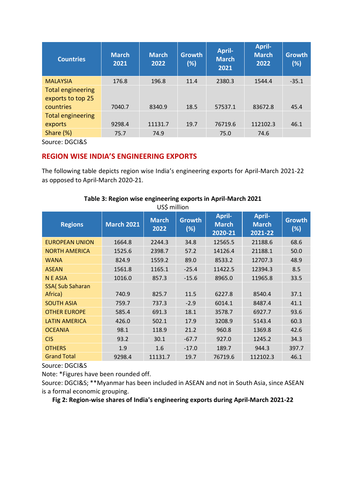| <b>Countries</b>         | <b>March</b><br>2021 | <b>March</b><br>2022 | <b>Growth</b><br>(%) | <b>April-</b><br><b>March</b><br>2021 | <b>April-</b><br><b>March</b><br>2022 | <b>Growth</b><br>(%) |
|--------------------------|----------------------|----------------------|----------------------|---------------------------------------|---------------------------------------|----------------------|
| <b>MALAYSIA</b>          | 176.8                | 196.8                | 11.4                 | 2380.3                                | 1544.4                                | $-35.1$              |
| <b>Total engineering</b> |                      |                      |                      |                                       |                                       |                      |
| exports to top 25        |                      |                      |                      |                                       |                                       |                      |
| countries                | 7040.7               | 8340.9               | 18.5                 | 57537.1                               | 83672.8                               | 45.4                 |
| <b>Total engineering</b> |                      |                      |                      |                                       |                                       |                      |
| exports                  | 9298.4               | 11131.7              | 19.7                 | 76719.6                               | 112102.3                              | 46.1                 |
| Share $(\%)$             | 75.7                 | 74.9                 |                      | 75.0                                  | 74.6                                  |                      |

Source: DGCI&S

#### **REGION WISE INDIA'S ENGINEERING EXPORTS**

The following table depicts region wise India's engineering exports for April-March 2021-22 as opposed to April-March 2020-21.

| <b>Regions</b>          | <b>March 2021</b> | <b>March</b><br>2022 | <b>Growth</b><br>(%) | <b>April-</b><br><b>March</b><br>2020-21 | <b>April-</b><br><b>March</b><br>2021-22 | <b>Growth</b><br>(%) |
|-------------------------|-------------------|----------------------|----------------------|------------------------------------------|------------------------------------------|----------------------|
| <b>EUROPEAN UNION</b>   | 1664.8            | 2244.3               | 34.8                 | 12565.5                                  | 21188.6                                  | 68.6                 |
| <b>NORTH AMERICA</b>    | 1525.6            | 2398.7               | 57.2                 | 14126.4                                  | 21188.1                                  | 50.0                 |
| <b>WANA</b>             | 824.9             | 1559.2               | 89.0                 | 8533.2                                   | 12707.3                                  | 48.9                 |
| <b>ASEAN</b>            | 1561.8            | 1165.1               | $-25.4$              | 11422.5                                  | 12394.3                                  | 8.5                  |
| N E ASIA                | 1016.0            | 857.3                | $-15.6$              | 8965.0                                   | 11965.8                                  | 33.5                 |
| <b>SSA( Sub Saharan</b> |                   |                      |                      |                                          |                                          |                      |
| Africa)                 | 740.9             | 825.7                | 11.5                 | 6227.8                                   | 8540.4                                   | 37.1                 |
| <b>SOUTH ASIA</b>       | 759.7             | 737.3                | $-2.9$               | 6014.1                                   | 8487.4                                   | 41.1                 |
| <b>OTHER EUROPE</b>     | 585.4             | 691.3                | 18.1                 | 3578.7                                   | 6927.7                                   | 93.6                 |
| <b>LATIN AMERICA</b>    | 426.0             | 502.1                | 17.9                 | 3208.9                                   | 5143.4                                   | 60.3                 |
| <b>OCEANIA</b>          | 98.1              | 118.9                | 21.2                 | 960.8                                    | 1369.8                                   | 42.6                 |
| <b>CIS</b>              | 93.2              | 30.1                 | $-67.7$              | 927.0                                    | 1245.2                                   | 34.3                 |
| <b>OTHERS</b>           | 1.9               | 1.6                  | $-17.0$              | 189.7                                    | 944.3                                    | 397.7                |
| <b>Grand Total</b>      | 9298.4            | 11131.7              | 19.7                 | 76719.6                                  | 112102.3                                 | 46.1                 |

#### **Table 3: Region wise engineering exports in April-March 2021** US\$ million

Source: DGCI&S

Note: \*Figures have been rounded off.

Source: DGCI&S; \*\*Myanmar has been included in ASEAN and not in South Asia, since ASEAN is a formal economic grouping.

**Fig 2: Region-wise shares of India's engineering exports during April-March 2021-22**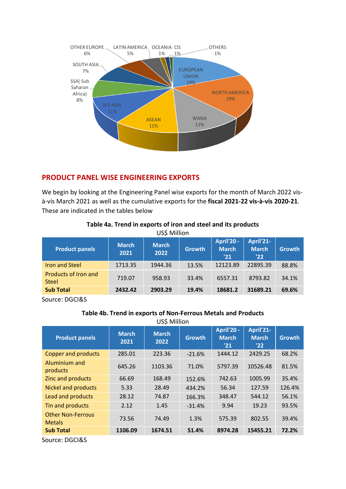

#### **PRODUCT PANEL WISE ENGINEERING EXPORTS**

We begin by looking at the Engineering Panel wise exports for the month of March 2022 visà-vis March 2021 as well as the cumulative exports for the **fiscal 2021-22 vis-à-vis 2020-21**. These are indicated in the tables below

| <b>Product panels</b>                       | <b>March</b><br>2021 | <b>March</b><br>2022 | <b>Growth</b> | April'20 -<br><b>March</b><br>'21 | April'21-<br><b>March</b><br>'22 | <b>Growth</b> |
|---------------------------------------------|----------------------|----------------------|---------------|-----------------------------------|----------------------------------|---------------|
| <b>Iron and Steel</b>                       | 1713.35              | 1944.36              | 13.5%         | 12123.89                          | 22895.39                         | 88.8%         |
| <b>Products of Iron and</b><br><b>Steel</b> | 719.07               | 958.93               | 33.4%         | 6557.31                           | 8793.82                          | 34.1%         |
| <b>Sub Total</b>                            | 2432.42              | 2903.29              | 19.4%         | 18681.2                           | 31689.21                         | 69.6%         |

#### **Table 4a. Trend in exports of iron and steel and its products**  US\$ Million

Source: DGCI&S

#### **Table 4b. Trend in exports of Non-Ferrous Metals and Products**

| <b>Product panels</b>                     | <b>March</b><br>2021 | <b>March</b><br>2022 | <b>Growth</b> | <b>April'20 -</b><br><b>March</b><br>'21 | April'21-<br><b>March</b><br>'22 | <b>Growth</b> |
|-------------------------------------------|----------------------|----------------------|---------------|------------------------------------------|----------------------------------|---------------|
| <b>Copper and products</b>                | 285.01               | 223.36               | $-21.6%$      | 1444.12                                  | 2429.25                          | 68.2%         |
| Aluminium and<br>products                 | 645.26               | 1103.36              | 71.0%         | 5797.39                                  | 10526.48                         | 81.5%         |
| Zinc and products                         | 66.69                | 168.49               | 152.6%        | 742.63                                   | 1005.99                          | 35.4%         |
| <b>Nickel and products</b>                | 5.33                 | 28.49                | 434.2%        | 56.34                                    | 127.59                           | 126.4%        |
| Lead and products                         | 28.12                | 74.87                | 166.3%        | 348.47                                   | 544.12                           | 56.1%         |
| Tin and products                          | 2.12                 | 1.45                 | $-31.4%$      | 9.94                                     | 19.23                            | 93.5%         |
| <b>Other Non-Ferrous</b><br><b>Metals</b> | 73.56                | 74.49                | 1.3%          | 575.39                                   | 802.55                           | 39.4%         |
| <b>Sub Total</b>                          | 1106.09              | 1674.51              | 51.4%         | 8974.28                                  | 15455.21                         | 72.2%         |

Source: DGCI&S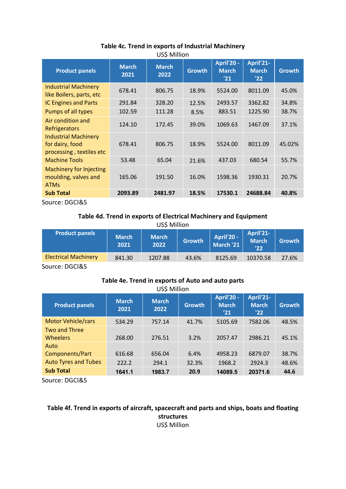| <b>Product panels</b>                                                      | <b>March</b><br>2021 | <b>March</b><br>2022 | <b>Growth</b> | <b>April'20 -</b><br><b>March</b><br>'21 | April'21-<br><b>March</b><br>'22 | <b>Growth</b> |
|----------------------------------------------------------------------------|----------------------|----------------------|---------------|------------------------------------------|----------------------------------|---------------|
| <b>Industrial Machinery</b><br>like Boilers, parts, etc                    | 678.41               | 806.75               | 18.9%         | 5524.00                                  | 8011.09                          | 45.0%         |
| <b>IC Engines and Parts</b>                                                | 291.84               | 328.20               | 12.5%         | 2493.57                                  | 3362.82                          | 34.8%         |
| Pumps of all types                                                         | 102.59               | 111.28               | 8.5%          | 883.51                                   | 1225.90                          | 38.7%         |
| Air condition and<br>Refrigerators                                         | 124.10               | 172.45               | 39.0%         | 1069.63                                  | 1467.09                          | 37.1%         |
| <b>Industrial Machinery</b><br>for dairy, food<br>processing, textiles etc | 678.41               | 806.75               | 18.9%         | 5524.00                                  | 8011.09                          | 45.02%        |
| <b>Machine Tools</b>                                                       | 53.48                | 65.04                | 21.6%         | 437.03                                   | 680.54                           | 55.7%         |
| Machinery for Injecting<br>moulding, valves and<br><b>ATMs</b>             | 165.06               | 191.50               | 16.0%         | 1598.36                                  | 1930.31                          | 20.7%         |
| <b>Sub Total</b>                                                           | 2093.89              | 2481.97              | 18.5%         | 17530.1                                  | 24688.84                         | 40.8%         |

#### **Table 4c. Trend in exports of Industrial Machinery** US\$ Million

Source: DGCI&S

#### **Table 4d. Trend in exports of Electrical Machinery and Equipment** US\$ Million

| <b>Product panels</b>       | <b>March</b><br>2021 | <b>March</b><br>2022 | <b>Growth</b> | April'20 -<br>March '21 | April'21-<br><b>March</b><br>'22 | <b>Growth</b> |
|-----------------------------|----------------------|----------------------|---------------|-------------------------|----------------------------------|---------------|
| <b>Electrical Machinery</b> | 841.30               | 1207.88              | 43.6%         | 8125.69                 | 10370.58                         | 27.6%         |
| -----                       |                      |                      |               |                         |                                  |               |

Source: DGCI&S

#### **Table 4e. Trend in exports of Auto and auto parts** US\$ Million

| <b>Product panels</b>                   | <b>March</b><br>2021 | <b>March</b><br>2022 | <b>Growth</b> | <b>April'20 -</b><br><b>March</b><br>'21 | April'21-<br><b>March</b><br>'22 | <b>Growth</b> |
|-----------------------------------------|----------------------|----------------------|---------------|------------------------------------------|----------------------------------|---------------|
| <b>Motor Vehicle/cars</b>               | 534.29               | 757.14               | 41.7%         | 5105.69                                  | 7582.06                          | 48.5%         |
| <b>Two and Three</b><br><b>Wheelers</b> | 268.00               | 276.51               | 3.2%          | 2057.47                                  | 2986.21                          | 45.1%         |
| Auto<br>Components/Part                 | 616.68               | 656.04               | 6.4%          | 4958.23                                  | 6879.07                          | 38.7%         |
| <b>Auto Tyres and Tubes</b>             | 222.2                | 294.1                | 32.3%         | 1968.2                                   | 2924.3                           | 48.6%         |
| <b>Sub Total</b>                        | 1641.1               | 1983.7               | 20.9          | 14089.5                                  | 20371.6                          | 44.6          |

Source: DGCI&S

#### **Table 4f. Trend in exports of aircraft, spacecraft and parts and ships, boats and floating structures** US\$ Million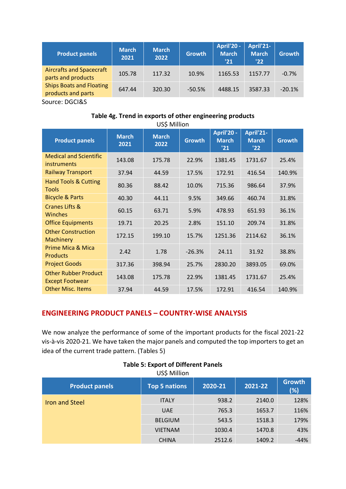| <b>Product panels</b>                                 | <b>March</b><br>2021 | <b>March</b><br>2022 | Growth   | <b>April'20 -</b><br><b>March</b><br>'21 | April'21-<br><b>March</b><br>'22 | <b>Growth</b> |
|-------------------------------------------------------|----------------------|----------------------|----------|------------------------------------------|----------------------------------|---------------|
| <b>Aircrafts and Spacecraft</b><br>parts and products | 105.78               | 117.32               | 10.9%    | 1165.53                                  | 1157.77                          | $-0.7%$       |
| <b>Ships Boats and Floating</b><br>products and parts | 647.44               | 320.30               | $-50.5%$ | 4488.15                                  | 3587.33                          | $-20.1%$      |
| Source: DGCI&S                                        |                      |                      |          |                                          |                                  |               |

#### **Table 4g. Trend in exports of other engineering products** US\$ Million

| יוטוווויוי עטט                                        |                      |                      |               |                                   |                                  |               |  |  |  |
|-------------------------------------------------------|----------------------|----------------------|---------------|-----------------------------------|----------------------------------|---------------|--|--|--|
| <b>Product panels</b>                                 | <b>March</b><br>2021 | <b>March</b><br>2022 | <b>Growth</b> | April'20 -<br><b>March</b><br>'21 | April'21-<br><b>March</b><br>'22 | <b>Growth</b> |  |  |  |
| <b>Medical and Scientific</b><br>instruments          | 143.08               | 175.78               | 22.9%         | 1381.45                           | 1731.67                          | 25.4%         |  |  |  |
| <b>Railway Transport</b>                              | 37.94                | 44.59                | 17.5%         | 172.91                            | 416.54                           | 140.9%        |  |  |  |
| <b>Hand Tools &amp; Cutting</b><br><b>Tools</b>       | 80.36                | 88.42                | 10.0%         | 715.36                            | 986.64                           | 37.9%         |  |  |  |
| <b>Bicycle &amp; Parts</b>                            | 40.30                | 44.11                | 9.5%          | 349.66                            | 460.74                           | 31.8%         |  |  |  |
| Cranes Lifts &<br><b>Winches</b>                      | 60.15                | 63.71                | 5.9%          | 478.93                            | 651.93                           | 36.1%         |  |  |  |
| <b>Office Equipments</b>                              | 19.71                | 20.25                | 2.8%          | 151.10                            | 209.74                           | 31.8%         |  |  |  |
| <b>Other Construction</b><br><b>Machinery</b>         | 172.15               | 199.10               | 15.7%         | 1251.36                           | 2114.62                          | 36.1%         |  |  |  |
| <b>Prime Mica &amp; Mica</b><br><b>Products</b>       | 2.42                 | 1.78                 | $-26.3%$      | 24.11                             | 31.92                            | 38.8%         |  |  |  |
| <b>Project Goods</b>                                  | 317.36               | 398.94               | 25.7%         | 2830.20                           | 3893.05                          | 69.0%         |  |  |  |
| <b>Other Rubber Product</b><br><b>Except Footwear</b> | 143.08               | 175.78               | 22.9%         | 1381.45                           | 1731.67                          | 25.4%         |  |  |  |
| <b>Other Misc. Items</b>                              | 37.94                | 44.59                | 17.5%         | 172.91                            | 416.54                           | 140.9%        |  |  |  |

#### **ENGINEERING PRODUCT PANELS – COUNTRY-WISE ANALYSIS**

We now analyze the performance of some of the important products for the fiscal 2021-22 vis-à-vis 2020-21. We have taken the major panels and computed the top importers to get an idea of the current trade pattern. (Tables 5)

| <b>Product panels</b> | <b>Top 5 nations</b> | 2020-21 | 2021-22 | <b>Growth</b><br>(%) |  |
|-----------------------|----------------------|---------|---------|----------------------|--|
| <b>Iron and Steel</b> | <b>ITALY</b>         | 938.2   | 2140.0  | 128%                 |  |
|                       | <b>UAE</b>           | 765.3   | 1653.7  | 116%                 |  |
|                       | <b>BELGIUM</b>       | 543.5   | 1518.3  | 179%                 |  |
|                       | <b>VIETNAM</b>       | 1030.4  | 1470.8  | 43%                  |  |
|                       | <b>CHINA</b>         | 2512.6  | 1409.2  | $-44%$               |  |

#### **Table 5: Export of Different Panels**  US\$ Million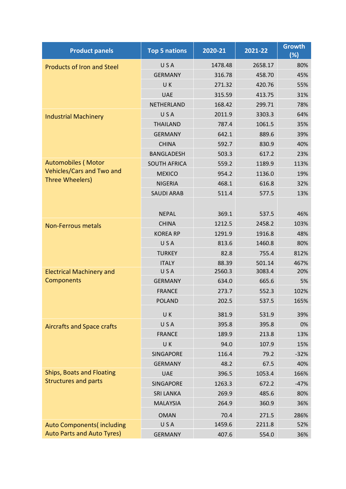| <b>Product panels</b>             | <b>Top 5 nations</b> | 2020-21 | 2021-22 | <b>Growth</b><br>(%) |
|-----------------------------------|----------------------|---------|---------|----------------------|
| <b>Products of Iron and Steel</b> | USA                  | 1478.48 | 2658.17 | 80%                  |
|                                   | <b>GERMANY</b>       | 316.78  | 458.70  | 45%                  |
|                                   | UK                   | 271.32  | 420.76  | 55%                  |
|                                   | <b>UAE</b>           | 315.59  | 413.75  | 31%                  |
|                                   | NETHERLAND           | 168.42  | 299.71  | 78%                  |
| <b>Industrial Machinery</b>       | USA                  | 2011.9  | 3303.3  | 64%                  |
|                                   | <b>THAILAND</b>      | 787.4   | 1061.5  | 35%                  |
|                                   | <b>GERMANY</b>       | 642.1   | 889.6   | 39%                  |
|                                   | <b>CHINA</b>         | 592.7   | 830.9   | 40%                  |
|                                   | <b>BANGLADESH</b>    | 503.3   | 617.2   | 23%                  |
| <b>Automobiles (Motor</b>         | <b>SOUTH AFRICA</b>  | 559.2   | 1189.9  | 113%                 |
| <b>Vehicles/Cars and Two and</b>  | <b>MEXICO</b>        | 954.2   | 1136.0  | 19%                  |
| Three Wheelers)                   | <b>NIGERIA</b>       | 468.1   | 616.8   | 32%                  |
|                                   | <b>SAUDI ARAB</b>    | 511.4   | 577.5   | 13%                  |
|                                   |                      |         |         |                      |
|                                   | <b>NEPAL</b>         | 369.1   | 537.5   | 46%                  |
| <b>Non-Ferrous metals</b>         | <b>CHINA</b>         | 1212.5  | 2458.2  | 103%                 |
|                                   | <b>KOREA RP</b>      | 1291.9  | 1916.8  | 48%                  |
|                                   | USA                  | 813.6   | 1460.8  | 80%                  |
|                                   | <b>TURKEY</b>        | 82.8    | 755.4   | 812%                 |
|                                   | <b>ITALY</b>         | 88.39   | 501.14  | 467%                 |
| <b>Electrical Machinery and</b>   | USA                  | 2560.3  | 3083.4  | 20%                  |
| Components                        | <b>GERMANY</b>       | 634.0   | 665.6   | 5%                   |
|                                   | <b>FRANCE</b>        | 273.7   | 552.3   | 102%                 |
|                                   | <b>POLAND</b>        | 202.5   | 537.5   | 165%                 |
|                                   | UK.                  | 381.9   | 531.9   | 39%                  |
| <b>Aircrafts and Space crafts</b> | USA                  | 395.8   | 395.8   | 0%                   |
|                                   | <b>FRANCE</b>        | 189.9   | 213.8   | 13%                  |
|                                   | UK                   | 94.0    | 107.9   | 15%                  |
|                                   | SINGAPORE            | 116.4   | 79.2    | $-32%$               |
|                                   | <b>GERMANY</b>       | 48.2    | 67.5    | 40%                  |
| <b>Ships, Boats and Floating</b>  | <b>UAE</b>           | 396.5   | 1053.4  | 166%                 |
| <b>Structures and parts</b>       | SINGAPORE            | 1263.3  | 672.2   | $-47%$               |
|                                   | <b>SRI LANKA</b>     | 269.9   | 485.6   | 80%                  |
|                                   | <b>MALAYSIA</b>      | 264.9   | 360.9   | 36%                  |
|                                   | <b>OMAN</b>          | 70.4    | 271.5   | 286%                 |
| <b>Auto Components (including</b> | USA                  | 1459.6  | 2211.8  | 52%                  |
| <b>Auto Parts and Auto Tyres)</b> | <b>GERMANY</b>       | 407.6   | 554.0   | 36%                  |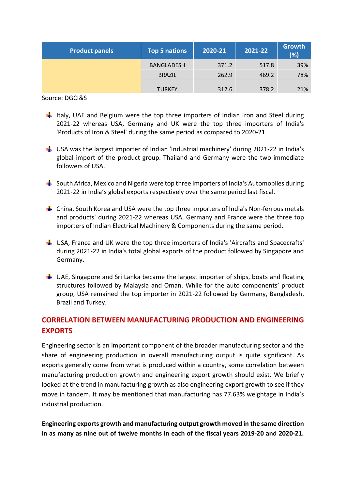| <b>Product panels</b> | <b>Top 5 nations</b> | 2021-22<br>2020-21 |       | <b>Growth</b><br>(%) |  |
|-----------------------|----------------------|--------------------|-------|----------------------|--|
|                       | <b>BANGLADESH</b>    | 371.2              | 517.8 | 39%                  |  |
|                       | <b>BRAZIL</b>        | 262.9              | 469.2 | 78%                  |  |
|                       | <b>TURKEY</b>        | 312.6              | 378.2 | 21%                  |  |

Source: DGCI&S

- **If Italy, UAE and Belgium were the top three importers of Indian Iron and Steel during** 2021-22 whereas USA, Germany and UK were the top three importers of India's 'Products of Iron & Steel' during the same period as compared to 2020-21.
- $\frac{1}{2}$  USA was the largest importer of Indian 'Industrial machinery' during 2021-22 in India's global import of the product group. Thailand and Germany were the two immediate followers of USA.
- $\frac{1}{2}$  South Africa, Mexico and Nigeria were top three importers of India's Automobiles during 2021-22 in India's global exports respectively over the same period last fiscal.
- $\frac{1}{2}$  China, South Korea and USA were the top three importers of India's Non-ferrous metals and products' during 2021-22 whereas USA, Germany and France were the three top importers of Indian Electrical Machinery & Components during the same period.
- $\frac{1}{2}$  USA, France and UK were the top three importers of India's 'Aircrafts and Spacecrafts' during 2021-22 in India's total global exports of the product followed by Singapore and Germany.
- $\frac{1}{2}$  UAE, Singapore and Sri Lanka became the largest importer of ships, boats and floating structures followed by Malaysia and Oman. While for the auto components' product group, USA remained the top importer in 2021-22 followed by Germany, Bangladesh, Brazil and Turkey.

### **CORRELATION BETWEEN MANUFACTURING PRODUCTION AND ENGINEERING EXPORTS**

Engineering sector is an important component of the broader manufacturing sector and the share of engineering production in overall manufacturing output is quite significant. As exports generally come from what is produced within a country, some correlation between manufacturing production growth and engineering export growth should exist. We briefly looked at the trend in manufacturing growth as also engineering export growth to see if they move in tandem. It may be mentioned that manufacturing has 77.63% weightage in India's industrial production.

**Engineering exports growth and manufacturing output growth moved in the same direction in as many as nine out of twelve months in each of the fiscal years 2019-20 and 2020-21.**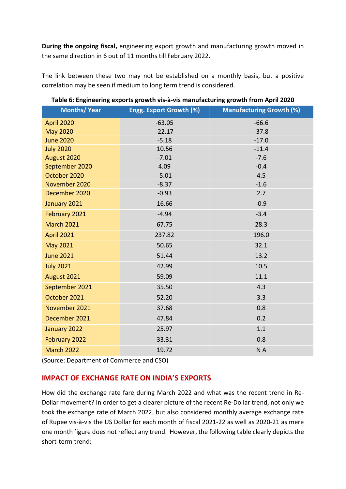**During the ongoing fiscal,** engineering export growth and manufacturing growth moved in the same direction in 6 out of 11 months till February 2022.

The link between these two may not be established on a monthly basis, but a positive correlation may be seen if medium to long term trend is considered.

| <b>Months/ Year</b> | Engg. Export Growth (%) | <b>Manufacturing Growth (%)</b> |
|---------------------|-------------------------|---------------------------------|
| April 2020          | $-63.05$                | $-66.6$                         |
| <b>May 2020</b>     | $-22.17$                | $-37.8$                         |
| <b>June 2020</b>    | $-5.18$                 | $-17.0$                         |
| <b>July 2020</b>    | 10.56                   | $-11.4$                         |
| August 2020         | $-7.01$                 | $-7.6$                          |
| September 2020      | 4.09                    | $-0.4$                          |
| October 2020        | $-5.01$                 | 4.5                             |
| November 2020       | $-8.37$                 | $-1.6$                          |
| December 2020       | $-0.93$                 | 2.7                             |
| January 2021        | 16.66                   | $-0.9$                          |
| February 2021       | $-4.94$                 | $-3.4$                          |
| <b>March 2021</b>   | 67.75                   | 28.3                            |
| <b>April 2021</b>   | 237.82                  | 196.0                           |
| <b>May 2021</b>     | 50.65                   | 32.1                            |
| <b>June 2021</b>    | 51.44                   | 13.2                            |
| <b>July 2021</b>    | 42.99                   | 10.5                            |
| August 2021         | 59.09                   | 11.1                            |
| September 2021      | 35.50                   | 4.3                             |
| October 2021        | 52.20                   | 3.3                             |
| November 2021       | 37.68                   | 0.8                             |
| December 2021       | 47.84                   | 0.2                             |
| January 2022        | 25.97                   | 1.1                             |
| February 2022       | 33.31                   | 0.8                             |
| <b>March 2022</b>   | 19.72                   | NA                              |

#### **Table 6: Engineering exports growth vis-à-vis manufacturing growth from April 2020**

(Source: Department of Commerce and CSO)

#### **IMPACT OF EXCHANGE RATE ON INDIA'S EXPORTS**

How did the exchange rate fare during March 2022 and what was the recent trend in Re-Dollar movement? In order to get a clearer picture of the recent Re-Dollar trend, not only we took the exchange rate of March 2022, but also considered monthly average exchange rate of Rupee vis-à-vis the US Dollar for each month of fiscal 2021-22 as well as 2020-21 as mere one month figure does not reflect any trend. However, the following table clearly depicts the short-term trend: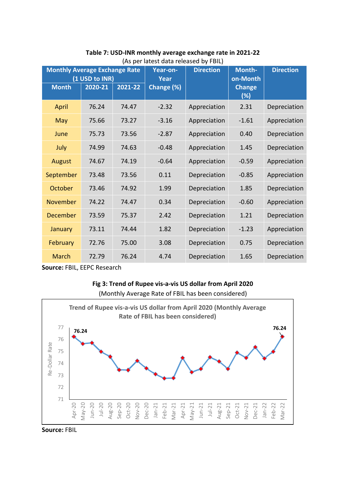| <b>Monthly Average Exchange Rate</b> | (1 USD to INR) |         | Year-on-<br><b>Year</b> | <b>Direction</b> | Month-<br>on-Month   | <b>Direction</b> |
|--------------------------------------|----------------|---------|-------------------------|------------------|----------------------|------------------|
| <b>Month</b>                         | 2020-21        | 2021-22 | Change (%)              |                  | <b>Change</b><br>(%) |                  |
| April                                | 76.24          | 74.47   | $-2.32$                 | Appreciation     | 2.31                 | Depreciation     |
| <b>May</b>                           | 75.66          | 73.27   | $-3.16$                 | Appreciation     | $-1.61$              | Appreciation     |
| June                                 | 75.73          | 73.56   | $-2.87$                 | Appreciation     | 0.40                 | Depreciation     |
| July                                 | 74.99          | 74.63   | $-0.48$                 | Appreciation     | 1.45                 | Depreciation     |
| August                               | 74.67          | 74.19   | $-0.64$                 | Appreciation     | $-0.59$              | Appreciation     |
| September                            | 73.48          | 73.56   | 0.11                    | Depreciation     | $-0.85$              | Appreciation     |
| October                              | 73.46          | 74.92   | 1.99                    | Depreciation     | 1.85                 | Depreciation     |
| November                             | 74.22          | 74.47   | 0.34                    | Depreciation     | $-0.60$              | Appreciation     |
| December                             | 73.59          | 75.37   | 2.42                    | Depreciation     | 1.21                 | Depreciation     |
| January                              | 73.11          | 74.44   | 1.82                    | Depreciation     | $-1.23$              | Appreciation     |
| <b>February</b>                      | 72.76          | 75.00   | 3.08                    | Depreciation     | 0.75                 | Depreciation     |
| <b>March</b>                         | 72.79          | 76.24   | 4.74                    | Depreciation     | 1.65                 | Depreciation     |

**Table 7: USD-INR monthly average exchange rate in 2021-22** (As per latest data released by FBIL)

**Source:** FBIL, EEPC Research

#### **Fig 3: Trend of Rupee vis-a-vis US dollar from April 2020**  (Monthly Average Rate of FBIL has been considered)



**Source:** FBIL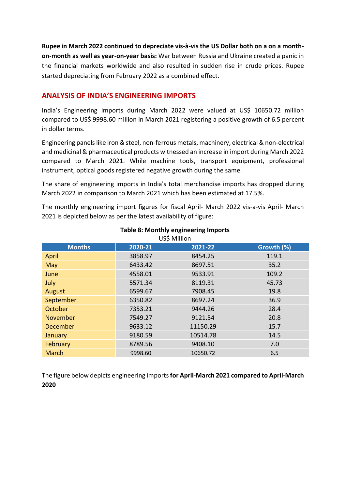**Rupee in March 2022 continued to depreciate vis-à-vis the US Dollar both on a on a monthon-month as well as year-on-year basis:** War between Russia and Ukraine created a panic in the financial markets worldwide and also resulted in sudden rise in crude prices. Rupee started depreciating from February 2022 as a combined effect.

#### **ANALYSIS OF INDIA'S ENGINEERING IMPORTS**

India's Engineering imports during March 2022 were valued at US\$ 10650.72 million compared to US\$ 9998.60 million in March 2021 registering a positive growth of 6.5 percent in dollar terms.

Engineering panels like iron & steel, non-ferrous metals, machinery, electrical & non-electrical and medicinal & pharmaceutical products witnessed an increase in import during March 2022 compared to March 2021. While machine tools, transport equipment, professional instrument, optical goods registered negative growth during the same.

The share of engineering imports in India's total merchandise imports has dropped during March 2022 in comparison to March 2021 which has been estimated at 17.5%.

The monthly engineering import figures for fiscal April- March 2022 vis-a-vis April- March 2021 is depicted below as per the latest availability of figure:

| US\$ Million  |         |          |            |  |  |  |  |  |  |
|---------------|---------|----------|------------|--|--|--|--|--|--|
| <b>Months</b> | 2020-21 | 2021-22  | Growth (%) |  |  |  |  |  |  |
| April         | 3858.97 | 8454.25  | 119.1      |  |  |  |  |  |  |
| May           | 6433.42 | 8697.51  | 35.2       |  |  |  |  |  |  |
| June          | 4558.01 | 9533.91  | 109.2      |  |  |  |  |  |  |
| July          | 5571.34 | 8119.31  | 45.73      |  |  |  |  |  |  |
| August        | 6599.67 | 7908.45  | 19.8       |  |  |  |  |  |  |
| September     | 6350.82 | 8697.24  | 36.9       |  |  |  |  |  |  |
| October       | 7353.21 | 9444.26  | 28.4       |  |  |  |  |  |  |
| November      | 7549.27 | 9121.54  | 20.8       |  |  |  |  |  |  |
| December      | 9633.12 | 11150.29 | 15.7       |  |  |  |  |  |  |
| January       | 9180.59 | 10514.78 | 14.5       |  |  |  |  |  |  |
| February      | 8789.56 | 9408.10  | 7.0        |  |  |  |  |  |  |
| March         | 9998.60 | 10650.72 | 6.5        |  |  |  |  |  |  |

## **Table 8: Monthly engineering Imports**

The figure below depicts engineering imports **for April-March 2021 compared to April-March 2020**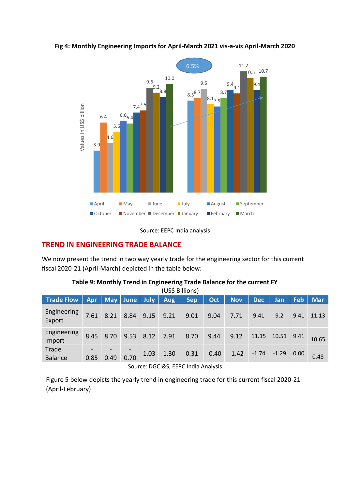

#### **Fig 4: Monthly Engineering Imports for April-March 2021 vis-a-vis April-March 2020**

Source: EEPC India analysis

#### **TREND IN ENGINEERING TRADE BALANCE**

We now present the trend in two way yearly trade for the engineering sector for this current fiscal 2020-21 (April-March) depicted in the table below:

| <b>Trade Flow</b>       | Apr  | May   June |      | July <b>N</b> | <b>Aug</b> | <b>Sep</b> | Oct,    | <b>Nov</b> | <b>Dec</b> | Jan     | <b>Feb</b> | <b>Mar</b> |
|-------------------------|------|------------|------|---------------|------------|------------|---------|------------|------------|---------|------------|------------|
| Engineering<br>Export   | 7.61 | 8.21       | 8.84 | 9.15          | 9.21       | 9.01       | 9.04    | 7.71       | 9.41       | 9.2     | 9.41       | 11.13      |
| Engineering<br>Import   | 8.45 | 8.70       | 9.53 | 8.12          | 7.91       | 8.70       | 9.44    | 9.12       | 11.15      | 10.51   | 9.41       | 10.65      |
| Trade<br><b>Balance</b> | 0.85 | 0.49       | 0.70 | 1.03          | 1.30       | 0.31       | $-0.40$ | $-1.42$    | $-1.74$    | $-1.29$ | 0.00       | 0.48       |

#### **Table 9: Monthly Trend in Engineering Trade Balance for the current FY**  $U(0<sup>2</sup> B)$

Source: DGCI&S, EEPC India Analysis

Figure 5 below depicts the yearly trend in engineering trade for this current fiscal 2020-21 (April-February)